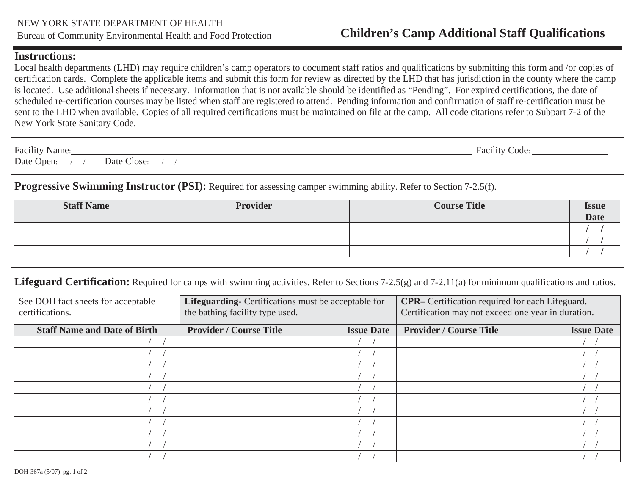#### **Instructions:**

Local health departments (LHD) may require children's camp operators to document staff ratios and qualifications by submitting this form and /or copies of certification cards. Complete the applicable items and submit this form for review as directed by the LHD that has jurisdiction in the county where the camp is located. Use additional sheets if necessary. Information that is not available should be identified as "Pending". For expired certifications, the date of scheduled re-certification courses may be listed when staff are registered to attend. Pending information and confirmation of staff re-certification must be sent to the LHD when available. Copies of all required certifications must be maintained on file at the camp. All code citations refer to Subpart 7-2 of the New York State Sanitary Code.

| Facility Name:                             | Facility Code: |  |
|--------------------------------------------|----------------|--|
| Date Open:<br>Date Close:<br>$\frac{1}{2}$ |                |  |

# **Progressive Swimming Instructor (PSI):** Required for assessing camper swimming ability. Refer to Section 7-2.5(f).

| <b>Staff Name</b> | <b>Provider</b> | <b>Course Title</b> | <b>Issue</b><br>Date |
|-------------------|-----------------|---------------------|----------------------|
|                   |                 |                     |                      |
|                   |                 |                     |                      |
|                   |                 |                     |                      |

### Lifeguard Certification: Required for camps with swimming activities. Refer to Sections 7-2.5(g) and 7-2.11(a) for minimum qualifications and ratios.

| See DOH fact sheets for acceptable<br>certifications. | Lifeguarding- Certifications must be acceptable for<br>the bathing facility type used. |                   | <b>CPR</b> - Certification required for each Lifeguard.<br>Certification may not exceed one year in duration. |                   |
|-------------------------------------------------------|----------------------------------------------------------------------------------------|-------------------|---------------------------------------------------------------------------------------------------------------|-------------------|
| <b>Staff Name and Date of Birth</b>                   | <b>Provider / Course Title</b>                                                         | <b>Issue Date</b> | <b>Provider / Course Title</b>                                                                                | <b>Issue Date</b> |
|                                                       |                                                                                        |                   |                                                                                                               |                   |
|                                                       |                                                                                        |                   |                                                                                                               |                   |
|                                                       |                                                                                        |                   |                                                                                                               |                   |
|                                                       |                                                                                        |                   |                                                                                                               |                   |
|                                                       |                                                                                        |                   |                                                                                                               |                   |
|                                                       |                                                                                        |                   |                                                                                                               |                   |
|                                                       |                                                                                        |                   |                                                                                                               |                   |
|                                                       |                                                                                        |                   |                                                                                                               |                   |
|                                                       |                                                                                        |                   |                                                                                                               |                   |
|                                                       |                                                                                        |                   |                                                                                                               |                   |
|                                                       |                                                                                        |                   |                                                                                                               |                   |